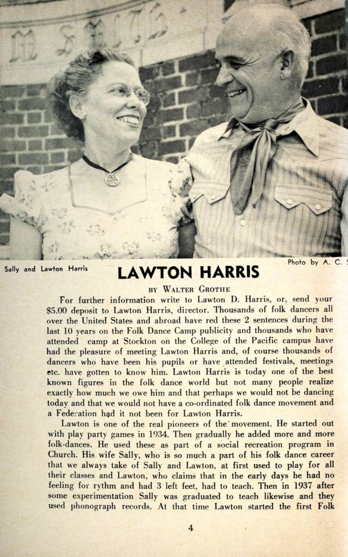

## Sally and Lawton Harris **LAWTON HARRIS**

## Photo by A. C.

## BY WALTER GROTHE

For further information write to Lawton D. Harris, or, send your \$5.00 deposit to Lawton Harris, director. Thousands of folk dancers all over the United States and abroad have red these 2 sentences during the last 10 years on the Folk Dance Camp publicity and thousands who have attended camp at Stockton on the College of the Pacific campus have had the pleasure of meeting Lawton Harris and, of course thousands of dancers who have been his pupils or have attended festivals, meetings etc. have gotten to know him. Lawton Harris is today one of the best known figures in the folk dance world but not many people realize exactly how much we owe him and that perhaps we would not be dancing today and that we would not have a co-ordinated folk dance movement and a Federation had it not been for Lawton Harris.

Lawton is one of the real pioneers of the' movement. He started out with play party games in 1934. Then gradually he added more and more folk-dances. He used these as part of a social recreation program in Church. His wife Sally, who is so much a part of his folk dance career that we always take of Sally and Lawton, at first used to play for all their classes and Lawton, who claims that in the early days he had no feeling for rythm and had 3 left feet, had to teach. Then in 1937 after some experimentation Sally was graduated to teach likewise and they used phonograph records. At that time Lawton started the first Folk